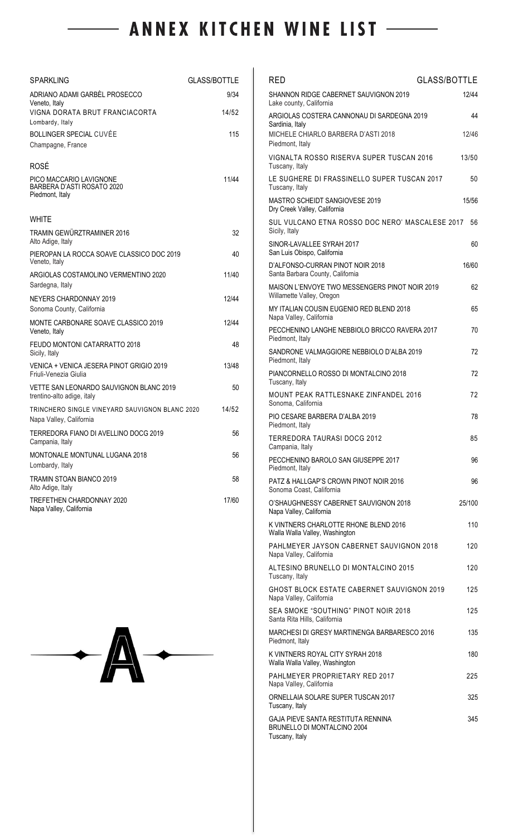# - ANNEX KITCHEN WINE LIST --

| SPARKLING                                                                 | GLASS/BOTTLE |
|---------------------------------------------------------------------------|--------------|
| ADRIANO ADAMI GARBÈL PROSECCO<br>Veneto, Italy                            | 9/34         |
| VIGNA DORATA BRUT FRANCIACORTA<br>Lombardy, Italy                         | 14/52        |
| BOLLINGER SPECIAL CUVÉE<br>Champagne, France                              | 115          |
| <b>ROSÉ</b>                                                               |              |
| PICO MACCARIO LAVIGNONE<br>BARBERA D'ASTI ROSATO 2020<br>Piedmont, Italy  | 11/44        |
| WHITE                                                                     |              |
| TRAMIN GEWÜRZTRAMINER 2016<br>Alto Adige, Italy                           | 32           |
| PIEROPAN LA ROCCA SOAVE CLASSICO DOC 2019<br>Veneto, Italy                | 40           |
| ARGIOLAS COSTAMOLINO VERMENTINO 2020<br>Sardegna, Italy                   | 11/40        |
| <b>NEYERS CHARDONNAY 2019</b><br>Sonoma County, California                | 12/44        |
| MONTE CARBONARE SOAVE CLASSICO 2019<br>Veneto, Italy                      | 12/44        |
| FEUDO MONTONI CATARRATTO 2018<br>Sicily, Italy                            | 48           |
| VENICA + VENICA JESERA PINOT GRIGIO 2019<br>Friuli-Venezia Giulia         | 13/48        |
| VETTE SAN LEONARDO SAUVIGNON BLANC 2019<br>trentino-alto adige, italy     | 50           |
| TRINCHERO SINGLE VINEYARD SAUVIGNON BLANC 2020<br>Napa Valley, California | 14/52        |
| TERREDORA FIANO DI AVELLINO DOCG 2019<br>Campania, Italy                  | 56           |
| MONTONALE MONTUNAL LUGANA 2018<br>Lombardy, Italy                         | 56           |
| <b>TRAMIN STOAN BIANCO 2019</b><br>Alto Adige, Italy                      | 58           |
| TREFETHEN CHARDONNAY 2020<br>Napa Valley, California                      | 17/60        |



| <b>RED</b>                                                                          | <b>GLASS/BOTTLE</b> |
|-------------------------------------------------------------------------------------|---------------------|
| SHANNON RIDGE CABERNET SAUVIGNON 2019<br>Lake county, California                    | 12/44               |
| ARGIOLAS COSTERA CANNONAU DI SARDEGNA 2019<br>Sardinia, Italy                       | 44                  |
| MICHELE CHIARLO BARBERA D'ASTI 2018<br>Piedmont, Italy                              | 12/46               |
| VIGNALTA ROSSO RISERVA SUPER TUSCAN 2016<br>Tuscany, Italy                          | 13/50               |
| LE SUGHERE DI FRASSINELLO SUPER TUSCAN 2017<br>Tuscany, Italy                       | 50                  |
| <b>MASTRO SCHEIDT SANGIOVESE 2019</b><br>Dry Creek Valley, California               | 15/56               |
| SUL VULCANO ETNA ROSSO DOC NERO' MASCALESE 2017<br>Sicily, Italy                    | 56                  |
| SINOR-LAVALLEE SYRAH 2017<br>San Luis Obispo, California                            | 60                  |
| D'ALFONSO-CURRAN PINOT NOIR 2018<br>Santa Barbara County, California                | 16/60               |
| MAISON L'ENVOYE TWO MESSENGERS PINOT NOIR 2019<br>Willamette Valley, Oregon         | 62                  |
| MY ITALIAN COUSIN EUGENIO RED BLEND 2018<br>Napa Valley, California                 | 65                  |
| PECCHENINO LANGHE NEBBIOLO BRICCO RAVERA 2017<br>Piedmont, Italy                    | 70                  |
| SANDRONE VALMAGGIORE NEBBIOLO D'ALBA 2019<br>Piedmont, Italy                        | 72                  |
| PIANCORNELLO ROSSO DI MONTALCINO 2018<br>Tuscany, Italy                             | 72                  |
| <b>MOUNT PEAK RATTLESNAKE ZINFANDEL 2016</b><br>Sonoma, California                  | 72                  |
| PIO CESARE BARBERA D'ALBA 2019<br>Piedmont, Italy                                   | 78                  |
| <b>TERREDORA TAURASI DOCG 2012</b><br>Campania, Italy                               | 85                  |
| PECCHENINO BAROLO SAN GIUSEPPE 2017<br>Piedmont, Italy                              | 96                  |
| PATZ & HALLGAP'S CROWN PINOT NOIR 2016<br>Sonoma Coast, California                  | 96                  |
| O'SHAUGHNESSY CABERNET SAUVIGNON 2018<br>Napa Valley, California                    | 25/100              |
| K VINTNERS CHARLOTTE RHONE BLEND 2016<br>Walla Walla Valley, Washington             | 110                 |
| PAHLMEYER JAYSON CABERNET SAUVIGNON 2018<br>Napa Valley, California                 | 120                 |
| ALTESINO BRUNELLO DI MONTALCINO 2015<br>Tuscany, Italy                              | 120                 |
| GHOST BLOCK ESTATE CABERNET SAUVIGNON 2019<br>Napa Valley, California               | 125                 |
| SEA SMOKE "SOUTHING" PINOT NOIR 2018<br>Santa Rita Hills, California                | 125                 |
| MARCHESI DI GRESY MARTINENGA BARBARESCO 2016<br>Piedmont, Italy                     | 135                 |
| K VINTNERS ROYAL CITY SYRAH 2018<br>Walla Walla Valley, Washington                  | 180                 |
| PAHLMEYER PROPRIETARY RED 2017<br>Napa Valley, California                           | 225                 |
| ORNELLAIA SOLARE SUPER TUSCAN 2017<br>Tuscany, Italy                                | 325                 |
| GAJA PIEVE SANTA RESTITUTA RENNINA<br>BRUNELLO DI MONTALCINO 2004<br>Tuscany, Italy | 345                 |